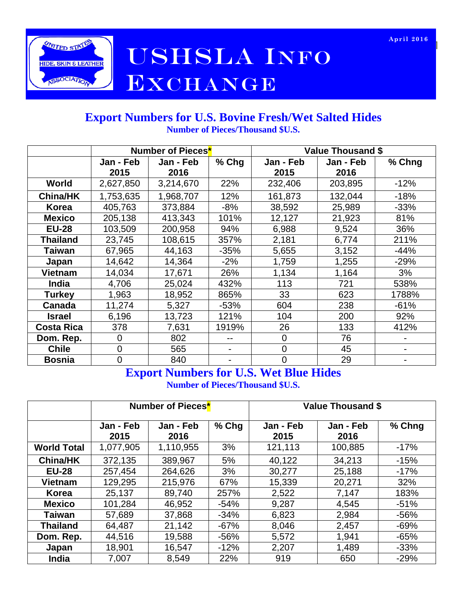

# **AMIED STANE NEWSHALES LA INFORMATION** EXCHANGE

#### **Export Numbers for U.S. Bovine Fresh/Wet Salted Hides Number of Pieces/Thousand \$U.S.**

|                   | Number of Pieces <sup>*</sup> |           |        | <b>Value Thousand \$</b> |           |        |  |
|-------------------|-------------------------------|-----------|--------|--------------------------|-----------|--------|--|
|                   | Jan - Feb                     | Jan - Feb | % Chg  | Jan - Feb                | Jan - Feb | % Chng |  |
|                   | 2015                          | 2016      |        | 2015                     | 2016      |        |  |
| World             | 2,627,850                     | 3,214,670 | 22%    | 232,406                  | 203,895   | $-12%$ |  |
| <b>China/HK</b>   | 1,753,635                     | 1,968,707 | 12%    | 161,873                  | 132,044   | $-18%$ |  |
| Korea             | 405,763                       | 373,884   | -8%    | 38,592                   | 25,989    | $-33%$ |  |
| <b>Mexico</b>     | 205,138                       | 413,343   | 101%   | 12,127                   | 21,923    | 81%    |  |
| <b>EU-28</b>      | 103,509                       | 200,958   | 94%    | 6,988                    | 9,524     | 36%    |  |
| <b>Thailand</b>   | 23,745                        | 108,615   | 357%   | 2,181                    | 6,774     | 211%   |  |
| <b>Taiwan</b>     | 67,965                        | 44,163    | $-35%$ | 5,655                    | 3,152     | $-44%$ |  |
| Japan             | 14,642                        | 14,364    | $-2\%$ | 1,759                    | 1,255     | $-29%$ |  |
| Vietnam           | 14,034                        | 17,671    | 26%    | 1,134                    | 1,164     | 3%     |  |
| <b>India</b>      | 4,706                         | 25,024    | 432%   | 113                      | 721       | 538%   |  |
| <b>Turkey</b>     | 1,963                         | 18,952    | 865%   | 33                       | 623       | 1788%  |  |
| Canada            | 11,274                        | 5,327     | $-53%$ | 604                      | 238       | $-61%$ |  |
| <b>Israel</b>     | 6,196                         | 13,723    | 121%   | 104                      | 200       | 92%    |  |
| <b>Costa Rica</b> | 378                           | 7,631     | 1919%  | 26                       | 133       | 412%   |  |
| Dom. Rep.         | $\overline{0}$                | 802       |        | $\mathbf 0$              | 76        |        |  |
| <b>Chile</b>      | $\overline{0}$                | 565       |        | $\Omega$                 | 45        |        |  |
| <b>Bosnia</b>     | $\overline{0}$                | 840       |        | 0                        | 29        |        |  |

## **Export Numbers for U.S. Wet Blue Hides**

**Number of Pieces/Thousand \$U.S.**

|                    | Number of Pieces <sup>*</sup> |                   |        | <b>Value Thousand \$</b> |                   |        |  |
|--------------------|-------------------------------|-------------------|--------|--------------------------|-------------------|--------|--|
|                    | Jan - Feb<br>2015             | Jan - Feb<br>2016 | % Chg  | Jan - Feb<br>2015        | Jan - Feb<br>2016 | % Chng |  |
| <b>World Total</b> | 1,077,905                     | 1,110,955         | 3%     | 121,113                  | 100,885           | $-17%$ |  |
| <b>China/HK</b>    | 372,135                       | 389,967           | 5%     | 40,122                   | 34,213            | $-15%$ |  |
| <b>EU-28</b>       | 257,454                       | 264,626           | 3%     | 30,277                   | 25,188            | $-17%$ |  |
| <b>Vietnam</b>     | 129,295                       | 215,976           | 67%    | 15,339                   | 20,271            | 32%    |  |
| Korea              | 25,137                        | 89,740            | 257%   | 2,522                    | 7,147             | 183%   |  |
| <b>Mexico</b>      | 101,284                       | 46,952            | $-54%$ | 9,287                    | 4,545             | $-51%$ |  |
| <b>Taiwan</b>      | 57,689                        | 37,868            | $-34%$ | 6,823                    | 2,984             | $-56%$ |  |
| <b>Thailand</b>    | 64,487                        | 21,142            | $-67%$ | 8,046                    | 2,457             | $-69%$ |  |
| Dom. Rep.          | 44,516                        | 19,588            | $-56%$ | 5,572                    | 1,941             | $-65%$ |  |
| Japan              | 18,901                        | 16,547            | $-12%$ | 2,207                    | 1,489             | $-33%$ |  |
| India              | 7,007                         | 8,549             | 22%    | 919                      | 650               | $-29%$ |  |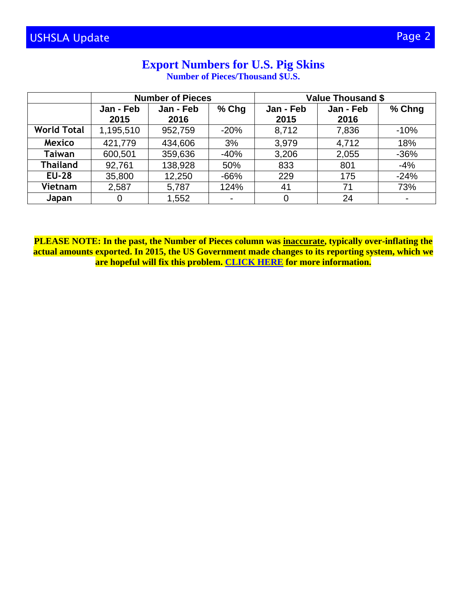#### **Export Numbers for U.S. Pig Skins Number of Pieces/Thousand \$U.S.**

|                    | <b>Number of Pieces</b> |           |                | <b>Value Thousand \$</b> |           |                |  |
|--------------------|-------------------------|-----------|----------------|--------------------------|-----------|----------------|--|
|                    | Jan - Feb               | Jan - Feb | $%$ Chg        | Jan - Feb                | Jan - Feb | % Chng         |  |
|                    | 2015                    | 2016      |                | 2015                     | 2016      |                |  |
| <b>World Total</b> | 1,195,510               | 952,759   | $-20%$         | 8,712                    | 7,836     | $-10%$         |  |
| <b>Mexico</b>      | 421,779                 | 434,606   | 3%             | 3,979                    | 4,712     | 18%            |  |
| <b>Taiwan</b>      | 600,501                 | 359,636   | $-40%$         | 3,206                    | 2,055     | $-36%$         |  |
| <b>Thailand</b>    | 92,761                  | 138,928   | 50%            | 833                      | 801       | $-4%$          |  |
| <b>EU-28</b>       | 35,800                  | 12,250    | $-66%$         | 229                      | 175       | $-24%$         |  |
| Vietnam            | 2,587                   | 5,787     | 124%           | 41                       | 71        | 73%            |  |
| Japan              | 0                       | 1,552     | $\blacksquare$ | 0                        | 24        | $\blacksquare$ |  |

**PLEASE NOTE: In the past, the Number of Pieces column was inaccurate, typically over-inflating the actual amounts exported. In 2015, the US Government made changes to its reporting system, which we are hopeful will fix this problem. [CLICK HERE](http://www.ushsla.org/ht/a/GetDocumentAction/i/111882) for more information.**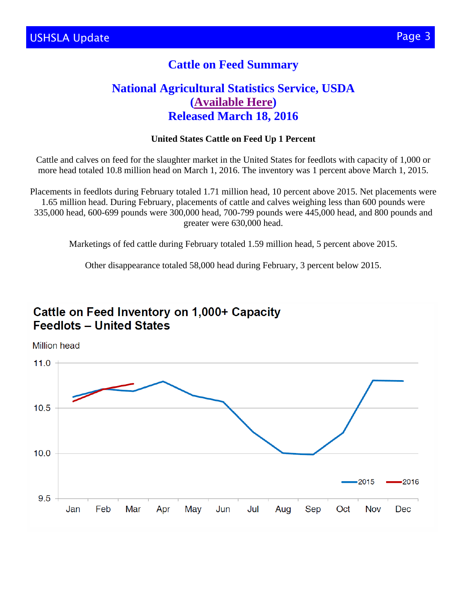## **Cattle on Feed Summary**

## **National Agricultural Statistics Service, USDA [\(Available Here\)](http://usda.mannlib.cornell.edu/MannUsda/viewDocumentInfo.do?documentID=1020) Released March 18, 2016**

#### **United States Cattle on Feed Up 1 Percent**

Cattle and calves on feed for the slaughter market in the United States for feedlots with capacity of 1,000 or more head totaled 10.8 million head on March 1, 2016. The inventory was 1 percent above March 1, 2015.

Placements in feedlots during February totaled 1.71 million head, 10 percent above 2015. Net placements were 1.65 million head. During February, placements of cattle and calves weighing less than 600 pounds were 335,000 head, 600-699 pounds were 300,000 head, 700-799 pounds were 445,000 head, and 800 pounds and greater were 630,000 head.

Marketings of fed cattle during February totaled 1.59 million head, 5 percent above 2015.

Other disappearance totaled 58,000 head during February, 3 percent below 2015.



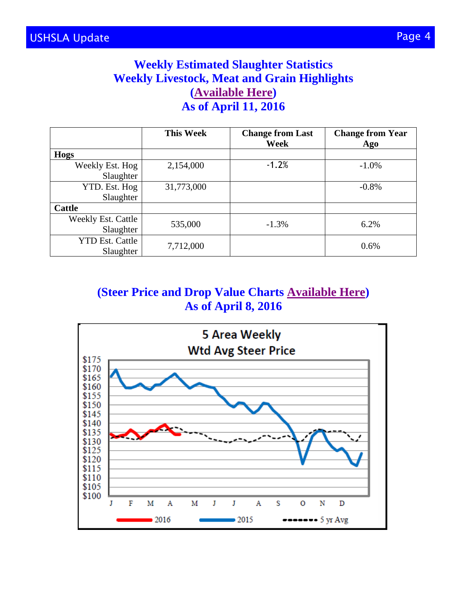## **Weekly Estimated Slaughter Statistics Weekly Livestock, Meat and Grain Highlights [\(Available Here\)](http://www.ams.usda.gov/mnreports/lswlpgmrkthighlight.pdf) As of April 11, 2016**

|                        | <b>This Week</b> | <b>Change from Last</b><br>Week | <b>Change from Year</b><br>Ago |  |
|------------------------|------------------|---------------------------------|--------------------------------|--|
| Hogs                   |                  |                                 |                                |  |
| Weekly Est. Hog        | 2,154,000        | $-1.2%$                         | $-1.0%$                        |  |
| Slaughter              |                  |                                 |                                |  |
| YTD. Est. Hog          | 31,773,000       |                                 | $-0.8\%$                       |  |
| Slaughter              |                  |                                 |                                |  |
| <b>Cattle</b>          |                  |                                 |                                |  |
| Weekly Est. Cattle     | 535,000          | $-1.3%$                         | 6.2%                           |  |
| Slaughter              |                  |                                 |                                |  |
| <b>YTD Est. Cattle</b> |                  |                                 | 0.6%                           |  |
| Slaughter              | 7,712,000        |                                 |                                |  |

## **(Steer Price and Drop Value Charts [Available Here\)](http://www.ams.usda.gov/mnreports/lswwcbs.pdf) As of April 8, 2016**

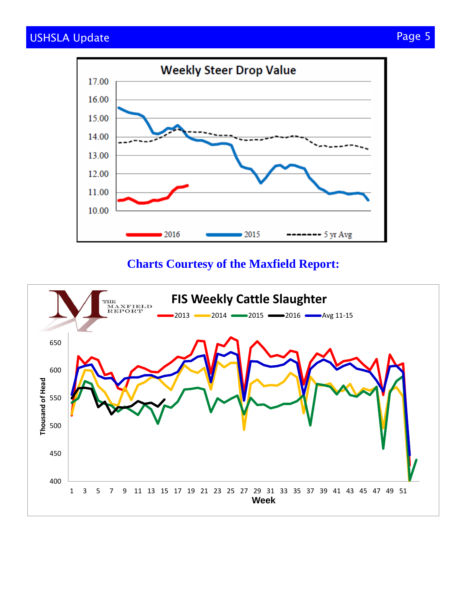

## **Charts Courtesy of the Maxfield Report:**

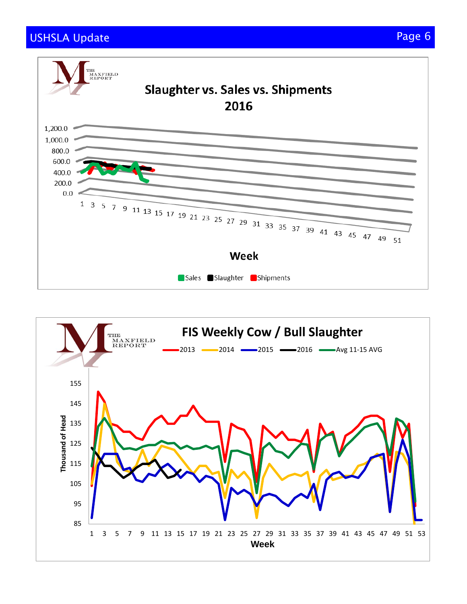## USHSLA Update Page 6 (Page 6) and the page 6 (Page 6) and the page 6 (Page 6) and the page 6